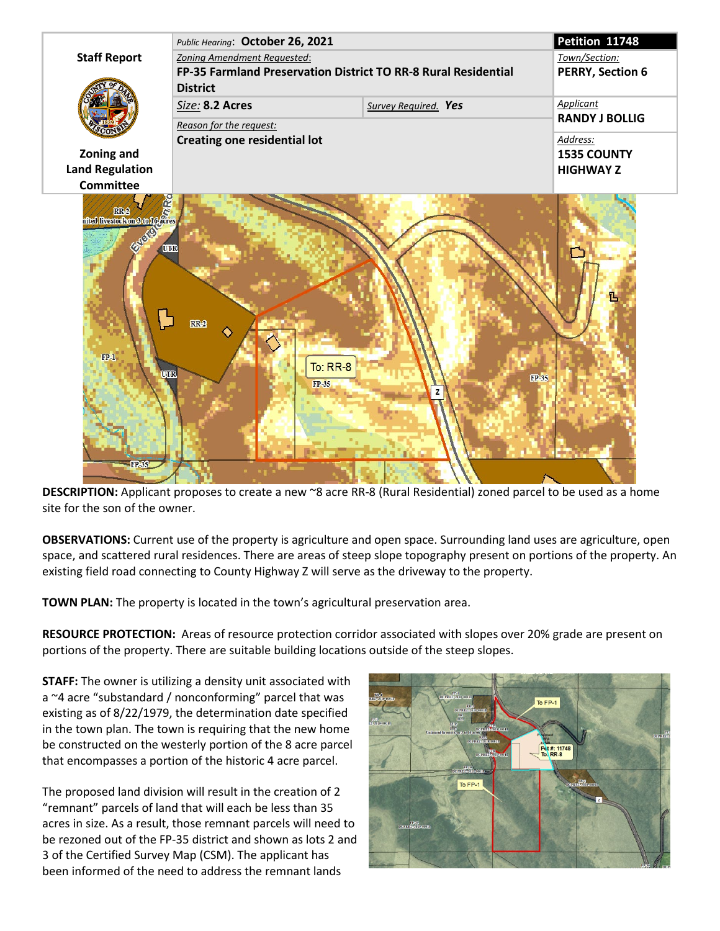

**DESCRIPTION:** Applicant proposes to create a new ~8 acre RR-8 (Rural Residential) zoned parcel to be used as a home site for the son of the owner.

**OBSERVATIONS:** Current use of the property is agriculture and open space. Surrounding land uses are agriculture, open space, and scattered rural residences. There are areas of steep slope topography present on portions of the property. An existing field road connecting to County Highway Z will serve as the driveway to the property.

**TOWN PLAN:** The property is located in the town's agricultural preservation area.

**RESOURCE PROTECTION:** Areas of resource protection corridor associated with slopes over 20% grade are present on portions of the property. There are suitable building locations outside of the steep slopes.

**STAFF:** The owner is utilizing a density unit associated with a ~4 acre "substandard / nonconforming" parcel that was existing as of 8/22/1979, the determination date specified in the town plan. The town is requiring that the new home be constructed on the westerly portion of the 8 acre parcel that encompasses a portion of the historic 4 acre parcel.

The proposed land division will result in the creation of 2 "remnant" parcels of land that will each be less than 35 acres in size. As a result, those remnant parcels will need to be rezoned out of the FP-35 district and shown as lots 2 and 3 of the Certified Survey Map (CSM). The applicant has been informed of the need to address the remnant lands